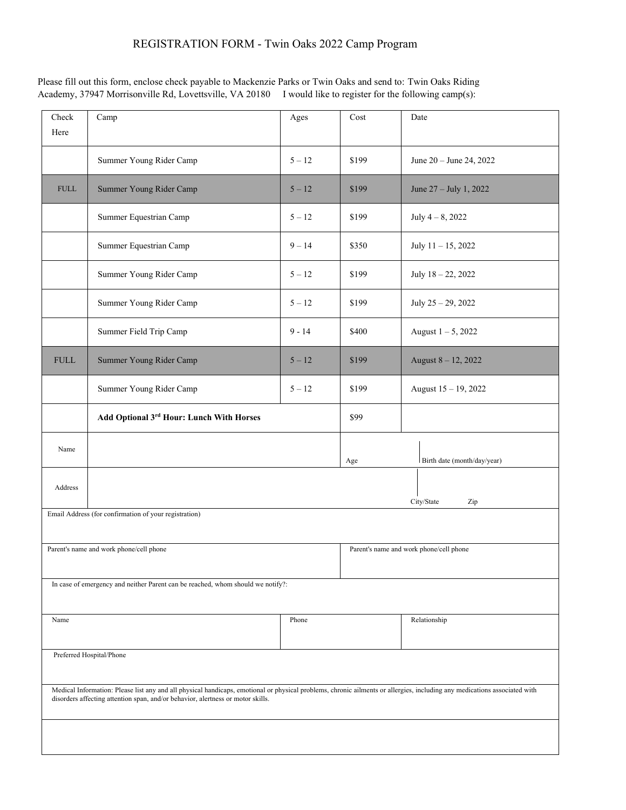Please fill out this form, enclose check payable to Mackenzie Parks or Twin Oaks and send to: Twin Oaks Riding Academy, 37947 Morrisonville Rd, Lovettsville, VA 20180 I would like to register for the following camp(s):

| Check<br>Here                                                                                                                                                                                                                                                | Camp                                     | Ages     | Cost                                    | Date                        |
|--------------------------------------------------------------------------------------------------------------------------------------------------------------------------------------------------------------------------------------------------------------|------------------------------------------|----------|-----------------------------------------|-----------------------------|
|                                                                                                                                                                                                                                                              | Summer Young Rider Camp                  | $5 - 12$ | \$199                                   | June 20 - June 24, 2022     |
| <b>FULL</b>                                                                                                                                                                                                                                                  | Summer Young Rider Camp                  | $5 - 12$ | \$199                                   | June 27 - July 1, 2022      |
|                                                                                                                                                                                                                                                              | Summer Equestrian Camp                   | $5 - 12$ | \$199                                   | July $4 - 8$ , 2022         |
|                                                                                                                                                                                                                                                              | Summer Equestrian Camp                   | $9 - 14$ | \$350                                   | July $11 - 15$ , 2022       |
|                                                                                                                                                                                                                                                              | Summer Young Rider Camp                  | $5 - 12$ | \$199                                   | July 18 - 22, 2022          |
|                                                                                                                                                                                                                                                              | Summer Young Rider Camp                  | $5 - 12$ | \$199                                   | July $25 - 29$ , $2022$     |
|                                                                                                                                                                                                                                                              | Summer Field Trip Camp                   | $9 - 14$ | \$400                                   | August $1 - 5$ , 2022       |
| <b>FULL</b>                                                                                                                                                                                                                                                  | Summer Young Rider Camp                  | $5 - 12$ | \$199                                   | August 8 - 12, 2022         |
|                                                                                                                                                                                                                                                              | Summer Young Rider Camp                  | $5 - 12$ | \$199                                   | August $15 - 19$ , 2022     |
|                                                                                                                                                                                                                                                              | Add Optional 3rd Hour: Lunch With Horses |          | \$99                                    |                             |
| Name                                                                                                                                                                                                                                                         |                                          |          | Age                                     | Birth date (month/day/year) |
| Address                                                                                                                                                                                                                                                      | City/State<br>Zip                        |          |                                         |                             |
| Email Address (for confirmation of your registration)                                                                                                                                                                                                        |                                          |          |                                         |                             |
|                                                                                                                                                                                                                                                              |                                          |          |                                         |                             |
|                                                                                                                                                                                                                                                              | Parent's name and work phone/cell phone  |          | Parent's name and work phone/cell phone |                             |
| In case of emergency and neither Parent can be reached, whom should we notify?:                                                                                                                                                                              |                                          |          |                                         |                             |
| Name                                                                                                                                                                                                                                                         |                                          | Phone    |                                         | Relationship                |
|                                                                                                                                                                                                                                                              |                                          |          |                                         |                             |
| Preferred Hospital/Phone                                                                                                                                                                                                                                     |                                          |          |                                         |                             |
| Medical Information: Please list any and all physical handicaps, emotional or physical problems, chronic ailments or allergies, including any medications associated with<br>disorders affecting attention span, and/or behavior, alertness or motor skills. |                                          |          |                                         |                             |
|                                                                                                                                                                                                                                                              |                                          |          |                                         |                             |